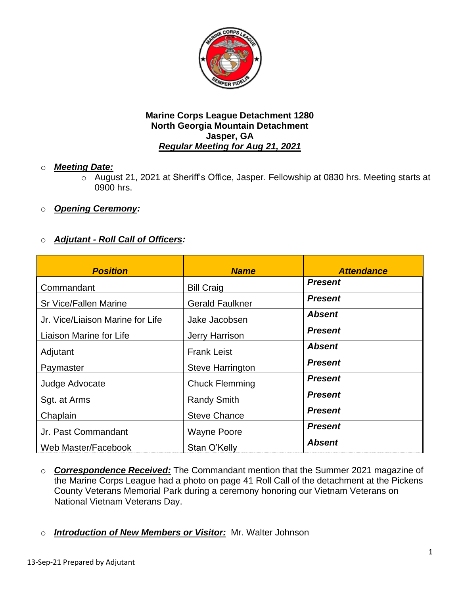

# o *Meeting Date:*

- o August 21, 2021 at Sheriff's Office, Jasper. Fellowship at 0830 hrs. Meeting starts at 0900 hrs.
- o *Opening Ceremony:*

# o *Adjutant - Roll Call of Officers:*

| <b>Position</b>                  | <b>Name</b>             | <b>Attendance</b> |
|----------------------------------|-------------------------|-------------------|
| Commandant                       | <b>Bill Craig</b>       | <b>Present</b>    |
| <b>Sr Vice/Fallen Marine</b>     | <b>Gerald Faulkner</b>  | <b>Present</b>    |
| Jr. Vice/Liaison Marine for Life | Jake Jacobsen           | <b>Absent</b>     |
| Liaison Marine for Life          | <b>Jerry Harrison</b>   | <b>Present</b>    |
| Adjutant                         | <b>Frank Leist</b>      | <b>Absent</b>     |
| Paymaster                        | <b>Steve Harrington</b> | <b>Present</b>    |
| Judge Advocate                   | <b>Chuck Flemming</b>   | <b>Present</b>    |
| Sgt. at Arms                     | <b>Randy Smith</b>      | <b>Present</b>    |
| Chaplain                         | <b>Steve Chance</b>     | <b>Present</b>    |
| Jr. Past Commandant              | <b>Wayne Poore</b>      | <b>Present</b>    |
| Web Master/Facebook              | Stan O'Kelly            | <b>Absent</b>     |

- o *Correspondence Received:* The Commandant mention that the Summer 2021 magazine of the Marine Corps League had a photo on page 41 Roll Call of the detachment at the Pickens County Veterans Memorial Park during a ceremony honoring our Vietnam Veterans on National Vietnam Veterans Day.
- o *Introduction of New Members or Visitor:* Mr. Walter Johnson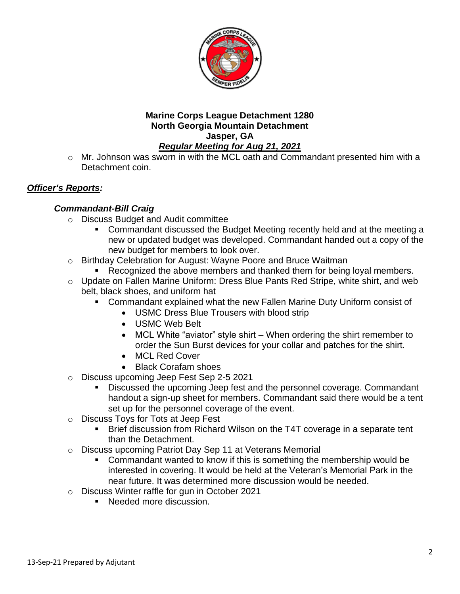

o Mr. Johnson was sworn in with the MCL oath and Commandant presented him with a Detachment coin.

# *Officer's Reports:*

## *Commandant-Bill Craig*

- o Discuss Budget and Audit committee
	- Commandant discussed the Budget Meeting recently held and at the meeting a new or updated budget was developed. Commandant handed out a copy of the new budget for members to look over.
- o Birthday Celebration for August: Wayne Poore and Bruce Waitman
	- Recognized the above members and thanked them for being loyal members.
- o Update on Fallen Marine Uniform: Dress Blue Pants Red Stripe, white shirt, and web belt, black shoes, and uniform hat
	- Commandant explained what the new Fallen Marine Duty Uniform consist of
		- USMC Dress Blue Trousers with blood strip
		- USMC Web Belt
		- MCL White "aviator" style shirt When ordering the shirt remember to order the Sun Burst devices for your collar and patches for the shirt.
		- MCL Red Cover
		- Black Corafam shoes
- o Discuss upcoming Jeep Fest Sep 2-5 2021
	- Discussed the upcoming Jeep fest and the personnel coverage. Commandant handout a sign-up sheet for members. Commandant said there would be a tent set up for the personnel coverage of the event.
- o Discuss Toys for Tots at Jeep Fest
	- Brief discussion from Richard Wilson on the T4T coverage in a separate tent than the Detachment.
- o Discuss upcoming Patriot Day Sep 11 at Veterans Memorial
	- Commandant wanted to know if this is something the membership would be interested in covering. It would be held at the Veteran's Memorial Park in the near future. It was determined more discussion would be needed.
- o Discuss Winter raffle for gun in October 2021
	- Needed more discussion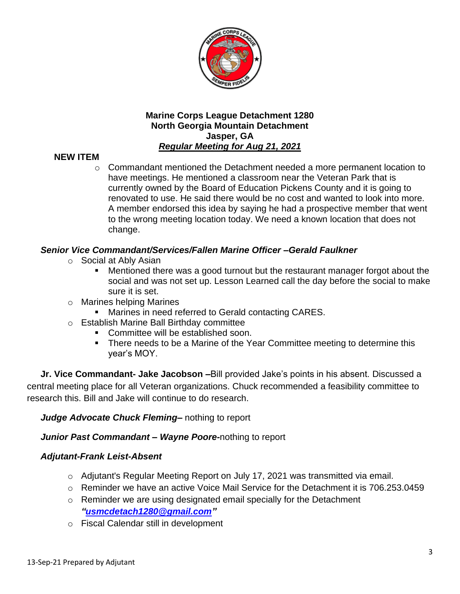

# **NEW ITEM**

 $\circ$  Commandant mentioned the Detachment needed a more permanent location to have meetings. He mentioned a classroom near the Veteran Park that is currently owned by the Board of Education Pickens County and it is going to renovated to use. He said there would be no cost and wanted to look into more. A member endorsed this idea by saying he had a prospective member that went to the wrong meeting location today. We need a known location that does not change.

# *Senior Vice Commandant/Services/Fallen Marine Officer –Gerald Faulkner*

- o Social at Ably Asian
	- Mentioned there was a good turnout but the restaurant manager forgot about the social and was not set up. Lesson Learned call the day before the social to make sure it is set.
- o Marines helping Marines
	- Marines in need referred to Gerald contacting CARES.
- o Establish Marine Ball Birthday committee
	- Committee will be established soon.
	- There needs to be a Marine of the Year Committee meeting to determine this year's MOY.

**Jr. Vice Commandant- Jake Jacobson –**Bill provided Jake's points in his absent. Discussed a central meeting place for all Veteran organizations. Chuck recommended a feasibility committee to research this. Bill and Jake will continue to do research.

# *Judge Advocate Chuck Fleming–* nothing to report

# *Junior Past Commandant – Wayne Poore-*nothing to report

# *Adjutant-Frank Leist-Absent*

- $\circ$  Adjutant's Regular Meeting Report on July 17, 2021 was transmitted via email.
- $\circ$  Reminder we have an active Voice Mail Service for the Detachment it is 706.253.0459
- o Reminder we are using designated email specially for the Detachment *["usmcdetach1280@gmail.com"](file:///C:/Users/Frank/Documents/USMC%20Det%20Jasper/Minutes/usmcdetach1280@gmail.com)*
- o Fiscal Calendar still in development